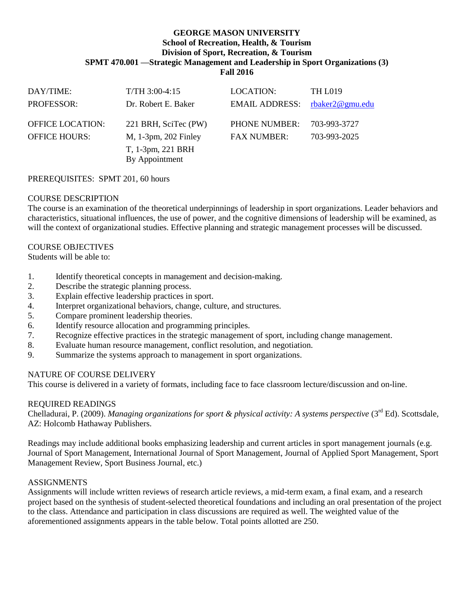#### **GEORGE MASON UNIVERSITY School of Recreation, Health, & Tourism Division of Sport, Recreation, & Tourism SPMT 470.001 —Strategic Management and Leadership in Sport Organizations (3) Fall 2016**

| DAY/TIME:               | $T/TH$ 3:00-4:15     | LOCATION:             | <b>TH L019</b>      |
|-------------------------|----------------------|-----------------------|---------------------|
| <b>PROFESSOR:</b>       | Dr. Robert E. Baker  | <b>EMAIL ADDRESS:</b> | rbaker $2@$ gmu.edu |
|                         |                      |                       |                     |
| <b>OFFICE LOCATION:</b> | 221 BRH, SciTec (PW) | <b>PHONE NUMBER:</b>  | 703-993-3727        |
| <b>OFFICE HOURS:</b>    | M, 1-3pm, 202 Finley | <b>FAX NUMBER:</b>    | 703-993-2025        |
|                         | T, 1-3pm, 221 BRH    |                       |                     |
|                         | By Appointment       |                       |                     |

PREREQUISITES: SPMT 201, 60 hours

## COURSE DESCRIPTION

The course is an examination of the theoretical underpinnings of leadership in sport organizations. Leader behaviors and characteristics, situational influences, the use of power, and the cognitive dimensions of leadership will be examined, as will the context of organizational studies. Effective planning and strategic management processes will be discussed.

## COURSE OBJECTIVES

Students will be able to:

- 1. Identify theoretical concepts in management and decision-making.
- 2. Describe the strategic planning process.
- 3. Explain effective leadership practices in sport.
- 4. Interpret organizational behaviors, change, culture, and structures.
- 5. Compare prominent leadership theories.
- 6. Identify resource allocation and programming principles.
- 7. Recognize effective practices in the strategic management of sport, including change management.
- 8. Evaluate human resource management, conflict resolution, and negotiation.
- 9. Summarize the systems approach to management in sport organizations.

## NATURE OF COURSE DELIVERY

This course is delivered in a variety of formats, including face to face classroom lecture/discussion and on-line.

## REQUIRED READINGS

Chelladurai, P. (2009). *Managing organizations for sport & physical activity: A systems perspective* (3<sup>rd</sup> Ed). Scottsdale, AZ: Holcomb Hathaway Publishers.

Readings may include additional books emphasizing leadership and current articles in sport management journals (e.g. Journal of Sport Management, International Journal of Sport Management, Journal of Applied Sport Management, Sport Management Review, Sport Business Journal, etc.)

## ASSIGNMENTS

Assignments will include written reviews of research article reviews, a mid-term exam, a final exam, and a research project based on the synthesis of student-selected theoretical foundations and including an oral presentation of the project to the class. Attendance and participation in class discussions are required as well. The weighted value of the aforementioned assignments appears in the table below. Total points allotted are 250.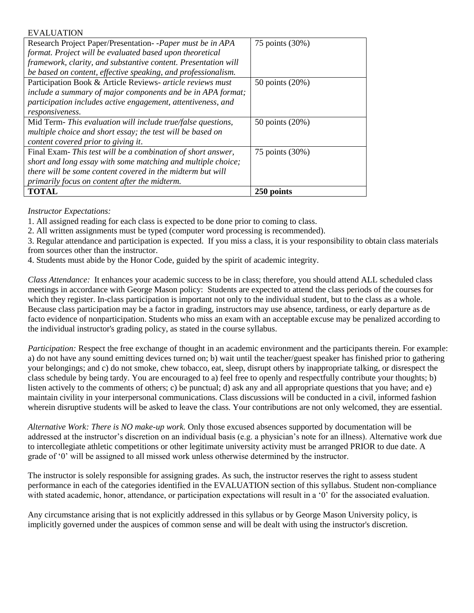| <b>EVALUATION</b>                                              |                 |
|----------------------------------------------------------------|-----------------|
| Research Project Paper/Presentation--Paper must be in APA      | 75 points (30%) |
| format. Project will be evaluated based upon theoretical       |                 |
| framework, clarity, and substantive content. Presentation will |                 |
| be based on content, effective speaking, and professionalism.  |                 |
| Participation Book & Article Reviews- article reviews must     | 50 points (20%) |
| include a summary of major components and be in APA format;    |                 |
| participation includes active engagement, attentiveness, and   |                 |
| responsiveness.                                                |                 |
| Mid Term- This evaluation will include true/false questions,   | 50 points (20%) |
| multiple choice and short essay; the test will be based on     |                 |
| content covered prior to giving it.                            |                 |
| Final Exam-This test will be a combination of short answer,    | 75 points (30%) |
| short and long essay with some matching and multiple choice;   |                 |
| there will be some content covered in the midterm but will     |                 |
| primarily focus on content after the midterm.                  |                 |
| <b>TOTAL</b>                                                   | 250 points      |

# *Instructor Expectations:*

1. All assigned reading for each class is expected to be done prior to coming to class.

2. All written assignments must be typed (computer word processing is recommended).

3. Regular attendance and participation is expected. If you miss a class, it is your responsibility to obtain class materials from sources other than the instructor.

4. Students must abide by the Honor Code, guided by the spirit of academic integrity.

*Class Attendance:* It enhances your academic success to be in class; therefore, you should attend ALL scheduled class meetings in accordance with George Mason policy: Students are expected to attend the class periods of the courses for which they register. In-class participation is important not only to the individual student, but to the class as a whole. Because class participation may be a factor in grading, instructors may use absence, tardiness, or early departure as de facto evidence of nonparticipation. Students who miss an exam with an acceptable excuse may be penalized according to the individual instructor's grading policy, as stated in the course syllabus.

*Participation:* Respect the free exchange of thought in an academic environment and the participants therein. For example: a) do not have any sound emitting devices turned on; b) wait until the teacher/guest speaker has finished prior to gathering your belongings; and c) do not smoke, chew tobacco, eat, sleep, disrupt others by inappropriate talking, or disrespect the class schedule by being tardy. You are encouraged to a) feel free to openly and respectfully contribute your thoughts; b) listen actively to the comments of others; c) be punctual; d) ask any and all appropriate questions that you have; and e) maintain civility in your interpersonal communications. Class discussions will be conducted in a civil, informed fashion wherein disruptive students will be asked to leave the class. Your contributions are not only welcomed, they are essential.

*Alternative Work: There is NO make-up work.* Only those excused absences supported by documentation will be addressed at the instructor's discretion on an individual basis (e.g. a physician's note for an illness). Alternative work due to intercollegiate athletic competitions or other legitimate university activity must be arranged PRIOR to due date. A grade of '0' will be assigned to all missed work unless otherwise determined by the instructor.

The instructor is solely responsible for assigning grades. As such, the instructor reserves the right to assess student performance in each of the categories identified in the EVALUATION section of this syllabus. Student non-compliance with stated academic, honor, attendance, or participation expectations will result in a '0' for the associated evaluation.

Any circumstance arising that is not explicitly addressed in this syllabus or by George Mason University policy, is implicitly governed under the auspices of common sense and will be dealt with using the instructor's discretion.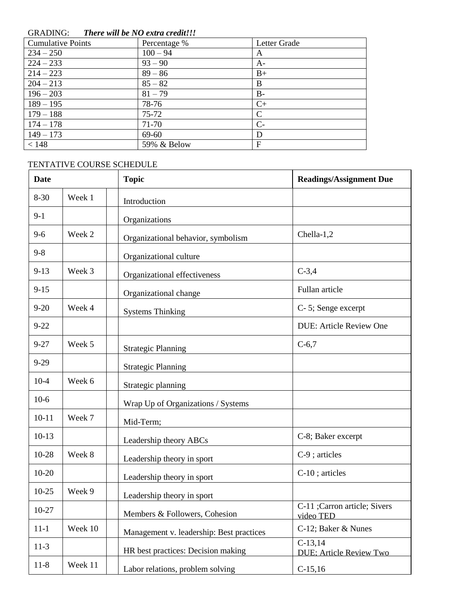# GRADING: *There will be NO extra credit!!!*

| <b>Cumulative Points</b> | Percentage % | Letter Grade |
|--------------------------|--------------|--------------|
| $234 - 250$              | $100 - 94$   | A            |
| $224 - 233$              | $93 - 90$    | $A-$         |
| $214 - 223$              | $89 - 86$    | $B+$         |
| $204 - 213$              | $85 - 82$    | B            |
| $196 - 203$              | $81 - 79$    | $B -$        |
| $189 - 195$              | 78-76        | $C+$         |
| $179 - 188$              | $75 - 72$    | C            |
| $174 - 178$              | 71-70        | $C-$         |
| $149 - 173$              | 69-60        | D            |
| < 148                    | 59% & Below  | F            |

# TENTATIVE COURSE SCHEDULE

| <b>Date</b> |         | <b>Topic</b>                             | <b>Readings/Assignment Due</b>               |
|-------------|---------|------------------------------------------|----------------------------------------------|
| $8 - 30$    | Week 1  | Introduction                             |                                              |
| $9-1$       |         | Organizations                            |                                              |
| $9 - 6$     | Week 2  | Organizational behavior, symbolism       | Chella-1,2                                   |
| $9 - 8$     |         | Organizational culture                   |                                              |
| $9-13$      | Week 3  | Organizational effectiveness             | $C-3,4$                                      |
| $9 - 15$    |         | Organizational change                    | Fullan article                               |
| $9 - 20$    | Week 4  | <b>Systems Thinking</b>                  | C-5; Senge excerpt                           |
| $9 - 22$    |         |                                          | <b>DUE: Article Review One</b>               |
| $9 - 27$    | Week 5  | <b>Strategic Planning</b>                | $C-6,7$                                      |
| $9-29$      |         | <b>Strategic Planning</b>                |                                              |
| $10-4$      | Week 6  | Strategic planning                       |                                              |
| $10-6$      |         | Wrap Up of Organizations / Systems       |                                              |
| $10 - 11$   | Week 7  | Mid-Term;                                |                                              |
| $10-13$     |         | Leadership theory ABCs                   | C-8; Baker excerpt                           |
| 10-28       | Week 8  | Leadership theory in sport               | C-9; articles                                |
| $10 - 20$   |         | Leadership theory in sport               | C-10; articles                               |
| $10-25$     | Week 9  | Leadership theory in sport               |                                              |
| $10-27$     |         | Members & Followers, Cohesion            | C-11 ;Carron article; Sivers<br>video TED    |
| $11 - 1$    | Week 10 | Management v. leadership: Best practices | C-12; Baker & Nunes                          |
| $11-3$      |         | HR best practices: Decision making       | $C-13,14$<br><b>DUE</b> ; Article Review Two |
| $11-8$      | Week 11 | Labor relations, problem solving         | $C-15,16$                                    |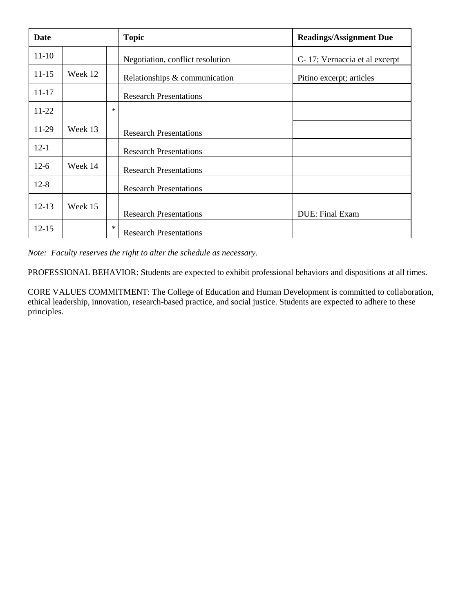| Date      |         |        | <b>Topic</b>                     | <b>Readings/Assignment Due</b> |
|-----------|---------|--------|----------------------------------|--------------------------------|
| $11 - 10$ |         |        | Negotiation, conflict resolution | C-17; Vernaccia et al excerpt  |
| $11 - 15$ | Week 12 |        | Relationships & communication    | Pitino excerpt; articles       |
| $11 - 17$ |         |        | <b>Research Presentations</b>    |                                |
| 11-22     |         | $\ast$ |                                  |                                |
| 11-29     | Week 13 |        | <b>Research Presentations</b>    |                                |
| $12-1$    |         |        | <b>Research Presentations</b>    |                                |
| $12-6$    | Week 14 |        | <b>Research Presentations</b>    |                                |
| $12 - 8$  |         |        | <b>Research Presentations</b>    |                                |
| $12 - 13$ | Week 15 |        | <b>Research Presentations</b>    | <b>DUE: Final Exam</b>         |
| $12 - 15$ |         | $\ast$ | <b>Research Presentations</b>    |                                |

*Note: Faculty reserves the right to alter the schedule as necessary.*

PROFESSIONAL BEHAVIOR: Students are expected to exhibit professional behaviors and dispositions at all times.

CORE VALUES COMMITMENT: The College of Education and Human Development is committed to collaboration, ethical leadership, innovation, research-based practice, and social justice. Students are expected to adhere to these principles.